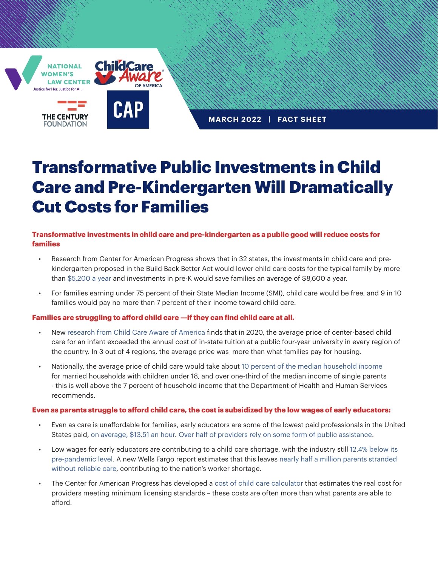

**MARCH 2022 | FACT SHEET**

# Transformative Public Investments in Child Care and Pre-Kindergarten Will Dramatically Cut Costs for Families

## **Transformative investments in child care and pre-kindergarten as a public good will reduce costs for families**

- Research from Center for American Progress shows that in 32 states, the investments in child care and prekindergarten proposed in the Build Back Better Act would lower child care costs for the typical family by more than [\\$5,200 a year](https://www.americanprogress.org/article/build-back-better-act-greatly-lower-families-child-care-costs/) and investments in pre-K would save families an average of \$8,600 a year.
- For families earning under 75 percent of their State Median Income (SMI), child care would be free, and 9 in 10 families would pay no more than 7 percent of their income toward child care.

## **Families are struggling to afford child care —if they can find child care at all.**

- New [research from Child Care Aware of America](https://www.childcareaware.org/demanding-change-repairing-our-child-care-system/#Affordability) finds that in 2020, the average price of center-based child care for an infant exceeded the annual cost of in-state tuition at a public four-year university in every region of the country. In 3 out of 4 regions, the average price was more than what families pay for housing.
- Nationally, the average price of child care would take about [10 percent of the median household income](https://www.childcareaware.org/demanding-change-repairing-our-child-care-system/#Affordability)  for married households with children under 18, and over one-third of the median income of single parents - this is well above the 7 percent of household income that the Department of Health and Human Services recommends.

#### **Even as parents struggle to afford child care, the cost is subsidized by the low wages of early educators:**

- Even as care is unaffordable for families, early educators are some of the lowest paid professionals in the United States paid, [on average, \\$13.51 an hour.](https://www.epi.org/publication/higher-wages-for-child-care-and-home-health-care-workers/#:~:text=The%20average%20wage%20for%20early,less%20than%20%2430%2C000%20a%20year.) [Over half of providers rely on some form of public assistance](https://cscce.berkeley.edu/wp-content/uploads/2018/06/2018-Index-Executive-Summary.pdf).
- Low wages for early educators are contributing to a child care shortage, with the industry still [12.4% below its](https://nwlc.org/wp-content/uploads/2022/02/January-Jobs-Day-updated.pdf)  [pre-pandemic level.](https://nwlc.org/wp-content/uploads/2022/02/January-Jobs-Day-updated.pdf) A new Wells Fargo report estimates that this leaves [nearly half a million parents stranded](https://www.cnn.com/2022/03/01/economy/child-care-wells-fargo-labor-force/index.html)  [without reliable care,](https://www.cnn.com/2022/03/01/economy/child-care-wells-fargo-labor-force/index.html) contributing to the nation's worker shortage.
- The Center for American Progress has developed a [cost of child care calculator](https://www.costofchildcare.org/) that estimates the real cost for providers meeting minimum licensing standards – these costs are often more than what parents are able to afford.